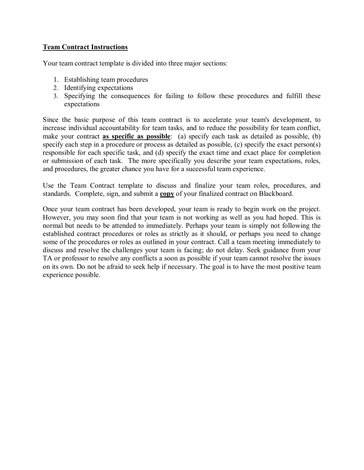## **Team Contract Instructions**

Your team contract template is divided into three major sections:

- 1. Establishing team procedures
- 2. Identifying expectations
- 3. Specifying the consequences for failing to follow these procedures and fulfill these expectations

Since the basic purpose of this team contract is to accelerate your team's development, to increase individual accountability for team tasks, and to reduce the possibility for team conflict, make your contract as specific as possible: (a) specify each task as detailed as possible, (b) specify each step in a procedure or process as detailed as possible, (c) specify the exact person(s) responsible for each specific task, and (d) specify the exact time and exact place for completion or submission of each task. The more specifically you describe your team expectations, roles, and procedures, the greater chance you have for a successful team experience.

Use the Team Contract template to discuss and finalize your team roles, procedures, and standards. Complete, sign, and submit a copy of your finalized contract on Blackboard.

Once your team contract has been developed, your team is ready to begin work on the project. However, you may soon find that your team is not working as well as you had hoped. This is normal but needs to be attended to immediately. Perhaps your team is simply not following the established contract procedures or roles as strictly as it should, or perhaps you need to change some of the procedures or roles as outlined in your contract. Call a team meeting immediately to discuss and resolve the challenges your team is facing; do not delay. Seek guidance from your TA or professor to resolve any conflicts a soon as possible if your team cannot resolve the issues on its own. Do not be afraid to seek help if necessary. The goal is to have the most positive team experience possible.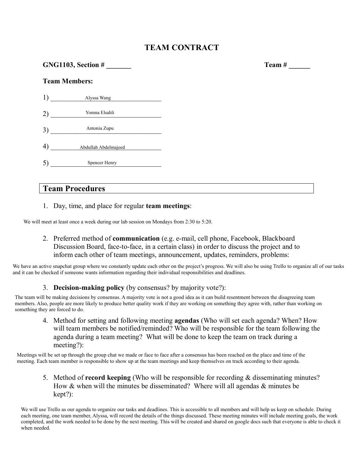# **TEAM CONTRACT**

Team #  $\qquad \qquad$ 

| GNG1103, Section $\#$ |                                 |  |  |  |
|-----------------------|---------------------------------|--|--|--|
| <b>Team Members:</b>  |                                 |  |  |  |
|                       | 1) Alyssa Wang                  |  |  |  |
|                       | 2) Yomna Elsahli                |  |  |  |
|                       | Antonia Zupu<br>3) Antonia Zupu |  |  |  |
|                       | 4) Abdullah Abdelmajeed         |  |  |  |
|                       | Spencer Henry                   |  |  |  |

# **Team Procedures**

1. Day, time, and place for regular team meetings:

We will meet at least once a week during our lab session on Mondays from 2:30 to 5:20.

2. Preferred method of communication (e.g. e-mail, cell phone, Facebook, Blackboard Discussion Board, face-to-face, in a certain class) in order to discuss the project and to inform each other of team meetings, announcement, updates, reminders, problems:

We have an active snapchat group where we constantly update each other on the project's progress. We will also be using Trello to organize all of our tasks and it can be checked if someone wants information regarding their individual responsibilities and deadlines.

### 3. **Decision-making policy** (by consensus? by majority vote?):

The team will be making decisions by consensus. A majority vote is not a good idea as it can build resentment between the disagreeing team members. Also, people are more likely to produce better quality work if they are working on something they agree with, rather than working on something they are forced to do.

4. Method for setting and following meeting **agendas** (Who will set each agenda? When? How will team members be notified/reminded? Who will be responsible for the team following the agenda during a team meeting? What will be done to keep the team on track during a  $meetine?$ :

Meetings will be set up through the group chat we made or face to face after a consensus has been reached on the place and time of the meeting. Each team member is responsible to show up at the team meetings and keep themselves on track according to their agenda.

5. Method of **record keeping** (Who will be responsible for recording  $\&$  disseminating minutes? How & when will the minutes be disseminated? Where will all agendas & minutes be kept?):

We will use Trello as our agenda to organize our tasks and deadlines. This is accessible to all members and will help us keep on schedule. During each meeting, one team member, Alyssa, will record the details of the things discussed. These meeting minutes will include meeting goals, the work completed, and the work needed to be done by the next meeting. This will be created and shared on google docs such that everyone is able to check it when needed.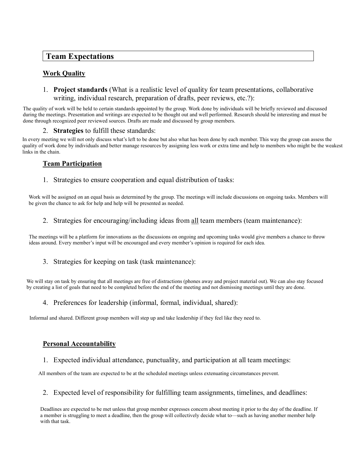# **Team Expectations**

### **Work Quality**

### 1. Project standards (What is a realistic level of quality for team presentations, collaborative writing, individual research, preparation of drafts, peer reviews, etc.?):

The quality of work will be held to certain standards appointed by the group. Work done by individuals will be briefly reviewed and discussed during the meetings. Presentation and writings are expected to be thought out and well performed. Research should be interesting and must be done through recognized peer reviewed sources. Drafts are made and discussed by group members.

#### 2. Strategies to fulfill these standards:

In every meeting we will not only discuss what's left to be done but also what has been done by each member. This way the group can assess the quality of work done by individuals and better manage resources by assigning less work or extra time and help to members who might be the weakest links in the chain.

### **Team Participation**

1. Strategies to ensure cooperation and equal distribution of tasks:

Work will be assigned on an equal basis as determined by the group. The meetings will include discussions on ongoing tasks. Members will be given the chance to ask for help and help will be presented as needed.

2. Strategies for encouraging/including ideas from all team members (team maintenance):

The meetings will be a platform for innovations as the discussions on ongoing and upcoming tasks would give members a chance to throw ideas around. Every member's input will be encouraged and every member's opinion is required for each idea.

3. Strategies for keeping on task (task maintenance):

We will stay on task by ensuring that all meetings are free of distractions (phones away and project material out). We can also stay focused by creating a list of goals that need to be completed before the end of the meeting and not dismissing meetings until they are done.

4. Preferences for leadership (informal, formal, individual, shared):

Informal and shared. Different group members will step up and take leadership if they feel like they need to.

### **Personal Accountability**

1. Expected individual attendance, punctuality, and participation at all team meetings:

All members of the team are expected to be at the scheduled meetings unless extenuating circumstances prevent.

2. Expected level of responsibility for fulfilling team assignments, timelines, and deadlines:

Deadlines are expected to be met unless that group member expresses concern about meeting it prior to the day of the deadline. If a member is struggling to meet a deadline, then the group will collectively decide what to—such as having another member help with that task.